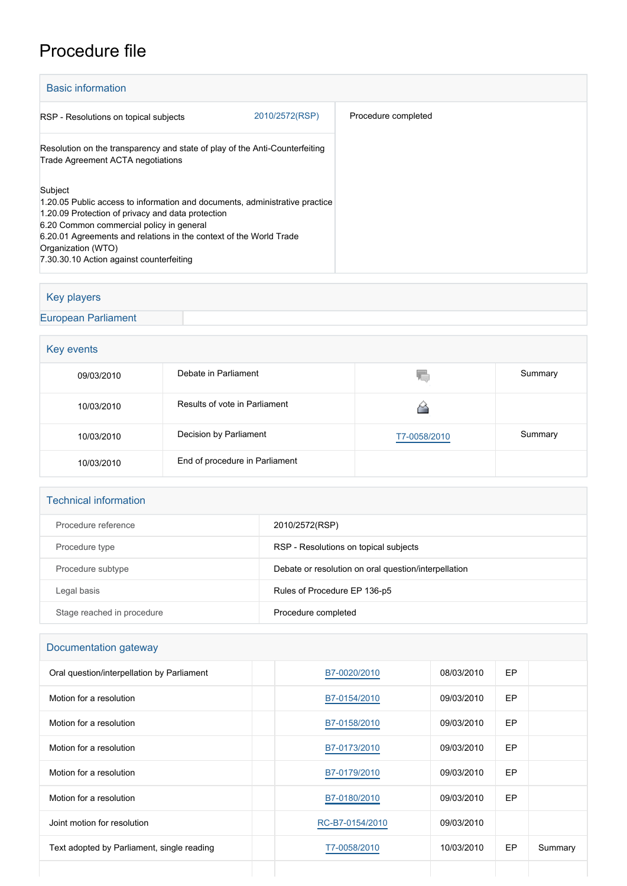# Procedure file

| <b>Basic information</b>                                                                                                                                                                                                                                                                                                        |                |                     |  |  |  |
|---------------------------------------------------------------------------------------------------------------------------------------------------------------------------------------------------------------------------------------------------------------------------------------------------------------------------------|----------------|---------------------|--|--|--|
| RSP - Resolutions on topical subjects                                                                                                                                                                                                                                                                                           | 2010/2572(RSP) | Procedure completed |  |  |  |
| Resolution on the transparency and state of play of the Anti-Counterfeiting<br>Trade Agreement ACTA negotiations                                                                                                                                                                                                                |                |                     |  |  |  |
| Subject<br>1.20.05 Public access to information and documents, administrative practice<br>1.20.09 Protection of privacy and data protection<br>6.20 Common commercial policy in general<br>6.20.01 Agreements and relations in the context of the World Trade<br>Organization (WTO)<br>7.30.30.10 Action against counterfeiting |                |                     |  |  |  |

### Key players

[European Parliament](http://www.europarl.europa.eu/)

# **Key events**

| 09/03/2010 | Debate in Parliament           | V.           | Summary |  |  |
|------------|--------------------------------|--------------|---------|--|--|
| 10/03/2010 | Results of vote in Parliament  |              |         |  |  |
| 10/03/2010 | Decision by Parliament         | T7-0058/2010 | Summary |  |  |
| 10/03/2010 | End of procedure in Parliament |              |         |  |  |

#### Technical information

| Procedure reference        | 2010/2572(RSP)                                       |
|----------------------------|------------------------------------------------------|
| Procedure type             | RSP - Resolutions on topical subjects                |
| Procedure subtype          | Debate or resolution on oral question/interpellation |
| Legal basis                | Rules of Procedure EP 136-p5                         |
| Stage reached in procedure | Procedure completed                                  |

## Documentation gateway

| Oral question/interpellation by Parliament | B7-0020/2010    | 08/03/2010 | EP        |         |
|--------------------------------------------|-----------------|------------|-----------|---------|
| Motion for a resolution                    | B7-0154/2010    | 09/03/2010 | EP        |         |
| Motion for a resolution                    | B7-0158/2010    | 09/03/2010 | <b>EP</b> |         |
| Motion for a resolution                    | B7-0173/2010    | 09/03/2010 | EP        |         |
| Motion for a resolution                    | B7-0179/2010    | 09/03/2010 | EP        |         |
| Motion for a resolution                    | B7-0180/2010    | 09/03/2010 | EP        |         |
| Joint motion for resolution                | RC-B7-0154/2010 | 09/03/2010 |           |         |
| Text adopted by Parliament, single reading | T7-0058/2010    | 10/03/2010 | EP        | Summary |
|                                            |                 |            |           |         |